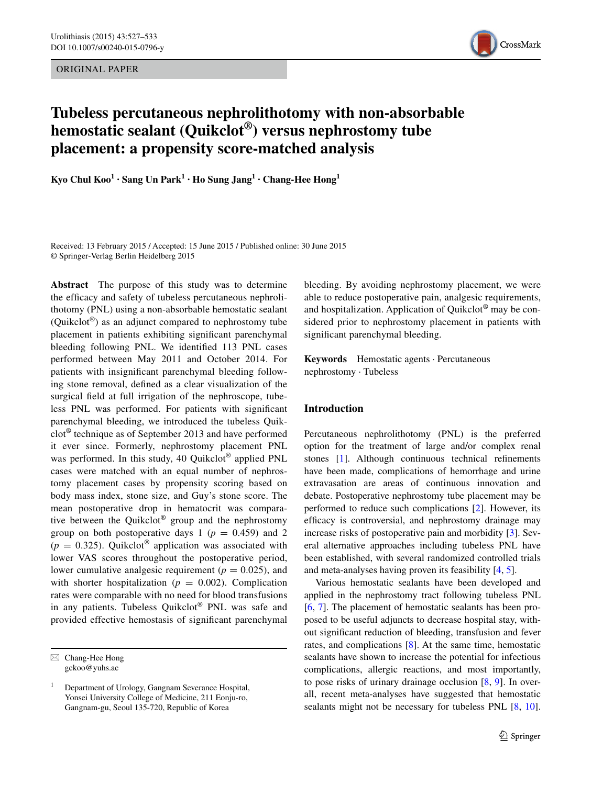ORIGINAL PAPER



# **Tubeless percutaneous nephrolithotomy with non‑absorbable hemostatic sealant (Quikclot®) versus nephrostomy tube placement: a propensity score‑matched analysis**

**Kyo Chul**  $\text{Koo}^1 \cdot \text{Sang Un Park}^1 \cdot \text{Ho Sung Jang}^1 \cdot \text{Chang-Hee Hong}^1$ 

Received: 13 February 2015 / Accepted: 15 June 2015 / Published online: 30 June 2015 © Springer-Verlag Berlin Heidelberg 2015

**Abstract** The purpose of this study was to determine the efficacy and safety of tubeless percutaneous nephrolithotomy (PNL) using a non-absorbable hemostatic sealant (Quikclot<sup>®</sup>) as an adjunct compared to nephrostomy tube placement in patients exhibiting significant parenchymal bleeding following PNL. We identified 113 PNL cases performed between May 2011 and October 2014. For patients with insignificant parenchymal bleeding following stone removal, defined as a clear visualization of the surgical field at full irrigation of the nephroscope, tubeless PNL was performed. For patients with significant parenchymal bleeding, we introduced the tubeless Quikclot® technique as of September 2013 and have performed it ever since. Formerly, nephrostomy placement PNL was performed. In this study, 40 Quikclot® applied PNL cases were matched with an equal number of nephrostomy placement cases by propensity scoring based on body mass index, stone size, and Guy's stone score. The mean postoperative drop in hematocrit was comparative between the Quikclot® group and the nephrostomy group on both postoperative days 1 ( $p = 0.459$ ) and 2  $(p = 0.325)$ . Quikclot<sup>®</sup> application was associated with lower VAS scores throughout the postoperative period, lower cumulative analgesic requirement ( $p = 0.025$ ), and with shorter hospitalization ( $p = 0.002$ ). Complication rates were comparable with no need for blood transfusions in any patients. Tubeless Quikclot® PNL was safe and provided effective hemostasis of significant parenchymal

bleeding. By avoiding nephrostomy placement, we were able to reduce postoperative pain, analgesic requirements, and hospitalization. Application of Quikclot® may be considered prior to nephrostomy placement in patients with significant parenchymal bleeding.

**Keywords** Hemostatic agents · Percutaneous nephrostomy · Tubeless

#### **Introduction**

Percutaneous nephrolithotomy (PNL) is the preferred option for the treatment of large and/or complex renal stones [\[1](#page-5-0)]. Although continuous technical refinements have been made, complications of hemorrhage and urine extravasation are areas of continuous innovation and debate. Postoperative nephrostomy tube placement may be performed to reduce such complications [\[2](#page-5-1)]. However, its efficacy is controversial, and nephrostomy drainage may increase risks of postoperative pain and morbidity [[3\]](#page-5-2). Several alternative approaches including tubeless PNL have been established, with several randomized controlled trials and meta-analyses having proven its feasibility [[4](#page-5-3), [5](#page-5-4)].

Various hemostatic sealants have been developed and applied in the nephrostomy tract following tubeless PNL [\[6](#page-5-5), [7](#page-5-6)]. The placement of hemostatic sealants has been proposed to be useful adjuncts to decrease hospital stay, without significant reduction of bleeding, transfusion and fever rates, and complications [\[8](#page-5-7)]. At the same time, hemostatic sealants have shown to increase the potential for infectious complications, allergic reactions, and most importantly, to pose risks of urinary drainage occlusion [\[8](#page-5-7), [9\]](#page-5-8). In overall, recent meta-analyses have suggested that hemostatic sealants might not be necessary for tubeless PNL  $[8, 10]$  $[8, 10]$  $[8, 10]$  $[8, 10]$ .

 $\boxtimes$  Chang-Hee Hong gckoo@yuhs.ac

<sup>1</sup> Department of Urology, Gangnam Severance Hospital, Yonsei University College of Medicine, 211 Eonju-ro, Gangnam-gu, Seoul 135-720, Republic of Korea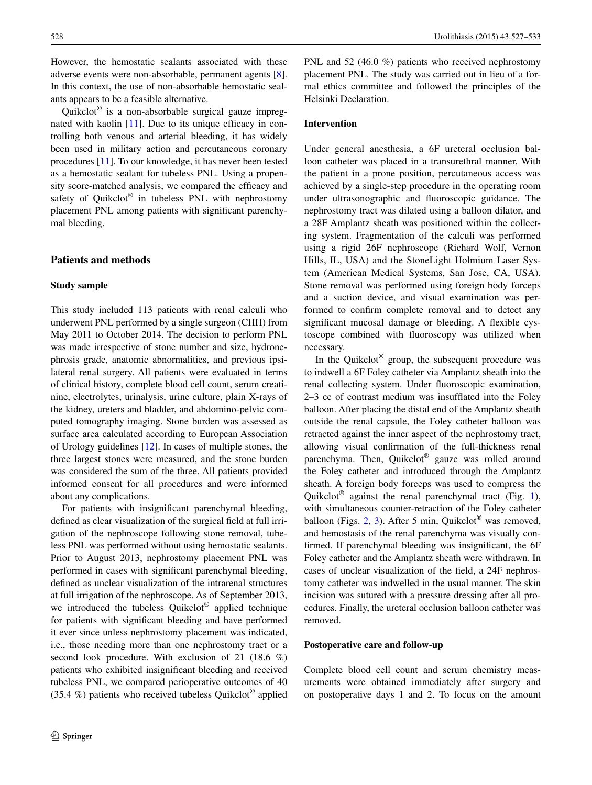However, the hemostatic sealants associated with these adverse events were non-absorbable, permanent agents [\[8](#page-5-7)]. In this context, the use of non-absorbable hemostatic sealants appears to be a feasible alternative.

Quikclot® is a non-absorbable surgical gauze impregnated with kaolin [[11\]](#page-5-10). Due to its unique efficacy in controlling both venous and arterial bleeding, it has widely been used in military action and percutaneous coronary procedures [[11\]](#page-5-10). To our knowledge, it has never been tested as a hemostatic sealant for tubeless PNL. Using a propensity score-matched analysis, we compared the efficacy and safety of Quikclot® in tubeless PNL with nephrostomy placement PNL among patients with significant parenchymal bleeding.

## **Patients and methods**

#### **Study sample**

This study included 113 patients with renal calculi who underwent PNL performed by a single surgeon (CHH) from May 2011 to October 2014. The decision to perform PNL was made irrespective of stone number and size, hydronephrosis grade, anatomic abnormalities, and previous ipsilateral renal surgery. All patients were evaluated in terms of clinical history, complete blood cell count, serum creatinine, electrolytes, urinalysis, urine culture, plain X-rays of the kidney, ureters and bladder, and abdomino-pelvic computed tomography imaging. Stone burden was assessed as surface area calculated according to European Association of Urology guidelines [[12\]](#page-5-11). In cases of multiple stones, the three largest stones were measured, and the stone burden was considered the sum of the three. All patients provided informed consent for all procedures and were informed about any complications.

For patients with insignificant parenchymal bleeding, defined as clear visualization of the surgical field at full irrigation of the nephroscope following stone removal, tubeless PNL was performed without using hemostatic sealants. Prior to August 2013, nephrostomy placement PNL was performed in cases with significant parenchymal bleeding, defined as unclear visualization of the intrarenal structures at full irrigation of the nephroscope. As of September 2013, we introduced the tubeless Quikclot® applied technique for patients with significant bleeding and have performed it ever since unless nephrostomy placement was indicated, i.e., those needing more than one nephrostomy tract or a second look procedure. With exclusion of 21 (18.6 %) patients who exhibited insignificant bleeding and received tubeless PNL, we compared perioperative outcomes of 40 (35.4 %) patients who received tubeless Quikclot<sup>®</sup> applied PNL and 52 (46.0 %) patients who received nephrostomy placement PNL. The study was carried out in lieu of a formal ethics committee and followed the principles of the Helsinki Declaration.

# **Intervention**

Under general anesthesia, a 6F ureteral occlusion balloon catheter was placed in a transurethral manner. With the patient in a prone position, percutaneous access was achieved by a single-step procedure in the operating room under ultrasonographic and fluoroscopic guidance. The nephrostomy tract was dilated using a balloon dilator, and a 28F Amplantz sheath was positioned within the collecting system. Fragmentation of the calculi was performed using a rigid 26F nephroscope (Richard Wolf, Vernon Hills, IL, USA) and the StoneLight Holmium Laser System (American Medical Systems, San Jose, CA, USA). Stone removal was performed using foreign body forceps and a suction device, and visual examination was performed to confirm complete removal and to detect any significant mucosal damage or bleeding. A flexible cystoscope combined with fluoroscopy was utilized when necessary.

In the Quikclot<sup>®</sup> group, the subsequent procedure was to indwell a 6F Foley catheter via Amplantz sheath into the renal collecting system. Under fluoroscopic examination, 2–3 cc of contrast medium was insufflated into the Foley balloon. After placing the distal end of the Amplantz sheath outside the renal capsule, the Foley catheter balloon was retracted against the inner aspect of the nephrostomy tract, allowing visual confirmation of the full-thickness renal parenchyma. Then, Quikclot® gauze was rolled around the Foley catheter and introduced through the Amplantz sheath. A foreign body forceps was used to compress the Quikclot<sup>®</sup> against the renal parenchymal tract (Fig. [1](#page-2-0)), with simultaneous counter-retraction of the Foley catheter balloon (Figs. [2,](#page-2-1) [3\)](#page-2-2). After 5 min, Ouikclot<sup>®</sup> was removed, and hemostasis of the renal parenchyma was visually confirmed. If parenchymal bleeding was insignificant, the 6F Foley catheter and the Amplantz sheath were withdrawn. In cases of unclear visualization of the field, a 24F nephrostomy catheter was indwelled in the usual manner. The skin incision was sutured with a pressure dressing after all procedures. Finally, the ureteral occlusion balloon catheter was removed.

#### **Postoperative care and follow‑up**

Complete blood cell count and serum chemistry measurements were obtained immediately after surgery and on postoperative days 1 and 2. To focus on the amount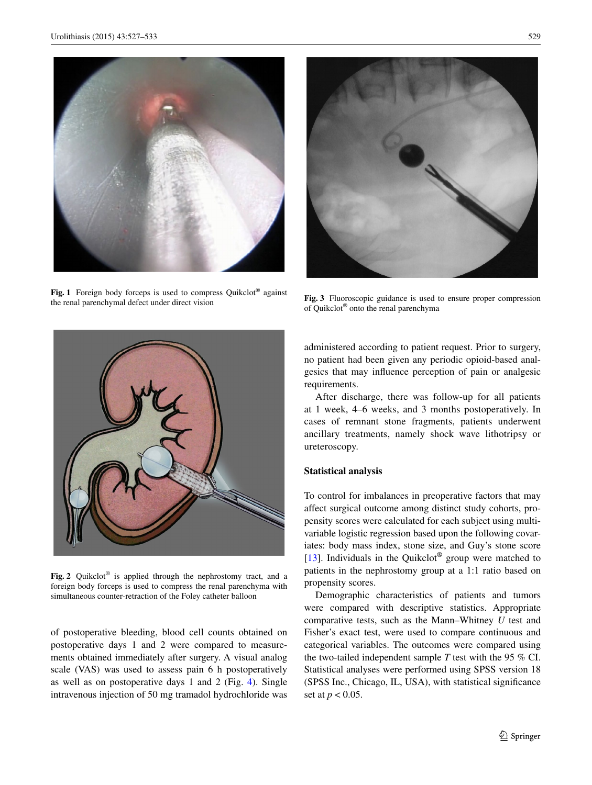

**Fig. 1** Foreign body forceps is used to compress Quikclot® against the renal parenchymal defect under direct vision



**Fig. 3** Fluoroscopic guidance is used to ensure proper compression of Quikclot® onto the renal parenchyma

<span id="page-2-0"></span>

**Fig. 2** Quikclot® is applied through the nephrostomy tract, and a foreign body forceps is used to compress the renal parenchyma with simultaneous counter-retraction of the Foley catheter balloon

<span id="page-2-1"></span>of postoperative bleeding, blood cell counts obtained on postoperative days 1 and 2 were compared to measurements obtained immediately after surgery. A visual analog scale (VAS) was used to assess pain 6 h postoperatively as well as on postoperative days 1 and 2 (Fig. [4\)](#page-3-0). Single intravenous injection of 50 mg tramadol hydrochloride was <span id="page-2-2"></span>administered according to patient request. Prior to surgery, no patient had been given any periodic opioid-based analgesics that may influence perception of pain or analgesic requirements.

After discharge, there was follow-up for all patients at 1 week, 4–6 weeks, and 3 months postoperatively. In cases of remnant stone fragments, patients underwent ancillary treatments, namely shock wave lithotripsy or ureteroscopy.

#### **Statistical analysis**

To control for imbalances in preoperative factors that may affect surgical outcome among distinct study cohorts, propensity scores were calculated for each subject using multivariable logistic regression based upon the following covariates: body mass index, stone size, and Guy's stone score [\[13](#page-5-12)]. Individuals in the Quikclot<sup>®</sup> group were matched to patients in the nephrostomy group at a 1:1 ratio based on propensity scores.

Demographic characteristics of patients and tumors were compared with descriptive statistics. Appropriate comparative tests, such as the Mann–Whitney *U* test and Fisher's exact test, were used to compare continuous and categorical variables. The outcomes were compared using the two-tailed independent sample *T* test with the 95 % CI. Statistical analyses were performed using SPSS version 18 (SPSS Inc., Chicago, IL, USA), with statistical significance set at *p* < 0.05.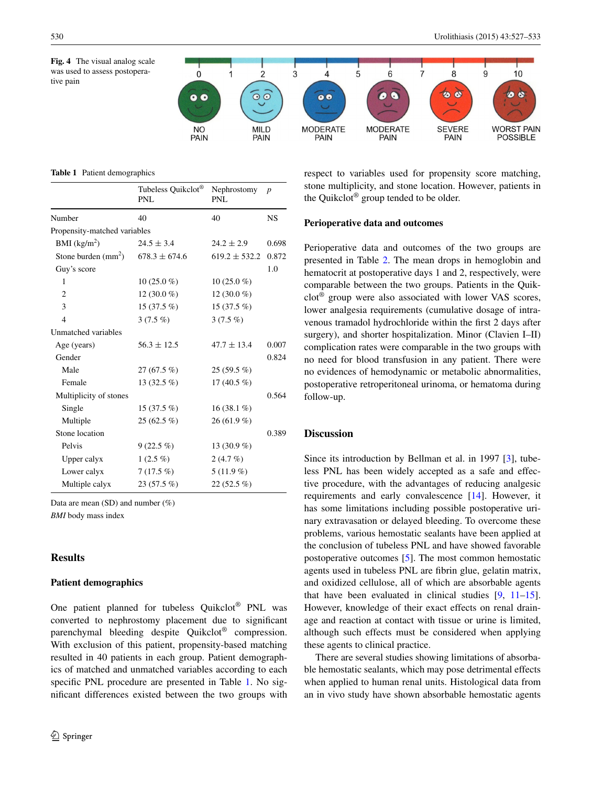<span id="page-3-0"></span>**Fig. 4** The visual analog scale was used to assess postoperative pain





<span id="page-3-1"></span>**Table 1** Patient demographics

|                              | Tubeless Quikclot®<br>PNL | Nephrostomy<br>PNL | $\boldsymbol{p}$ |
|------------------------------|---------------------------|--------------------|------------------|
| Number                       | 40                        | 40                 | <b>NS</b>        |
| Propensity-matched variables |                           |                    |                  |
| BMI $(kg/m2)$                | $24.5 \pm 3.4$            | $24.2 \pm 2.9$     | 0.698            |
| Stone burden $(mm2)$         | $678.3 \pm 674.6$         | $619.2 \pm 532.2$  | 0.872            |
| Guy's score                  |                           |                    | 1.0              |
| $\mathbf{1}$                 | $10(25.0\%)$              | $10(25.0\%)$       |                  |
| $\overline{2}$               | 12 $(30.0\%)$             | 12 $(30.0\%$       |                  |
| 3                            | $15(37.5\%)$              | 15 $(37.5\%)$      |                  |
| $\overline{4}$               | $3(7.5\%)$                | $3(7.5\%)$         |                  |
| Unmatched variables          |                           |                    |                  |
| Age (years)                  | $56.3 \pm 12.5$           | $47.7 \pm 13.4$    | 0.007            |
| Gender                       |                           |                    | 0.824            |
| Male                         | 27 (67.5 %)               | $25(59.5\%)$       |                  |
| Female                       | 13 $(32.5\%)$             | 17 $(40.5\%$       |                  |
| Multiplicity of stones       |                           |                    | 0.564            |
| Single                       | $15(37.5\%)$              | $16(38.1\%)$       |                  |
| Multiple                     | $25(62.5\%)$              | $26(61.9\%)$       |                  |
| Stone location               |                           |                    | 0.389            |
| Pelvis                       | $9(22.5\%)$               | 13 $(30.9\%)$      |                  |
| Upper calyx                  | $1(2.5\%)$                | $2(4.7\%)$         |                  |
| Lower calyx                  | $7(17.5\%)$               | $5(11.9\%)$        |                  |
| Multiple calyx               | $23(57.5\%)$              | $22(52.5\%)$       |                  |

Data are mean (SD) and number (%)

*BMI* body mass index

## **Results**

# **Patient demographics**

One patient planned for tubeless Quikclot® PNL was converted to nephrostomy placement due to significant parenchymal bleeding despite Quikclot® compression. With exclusion of this patient, propensity-based matching resulted in 40 patients in each group. Patient demographics of matched and unmatched variables according to each specific PNL procedure are presented in Table [1.](#page-3-1) No significant differences existed between the two groups with respect to variables used for propensity score matching, stone multiplicity, and stone location. However, patients in the Quikclot® group tended to be older.

#### **Perioperative data and outcomes**

Perioperative data and outcomes of the two groups are presented in Table [2](#page-4-0). The mean drops in hemoglobin and hematocrit at postoperative days 1 and 2, respectively, were comparable between the two groups. Patients in the Quikclot® group were also associated with lower VAS scores, lower analgesia requirements (cumulative dosage of intravenous tramadol hydrochloride within the first 2 days after surgery), and shorter hospitalization. Minor (Clavien I–II) complication rates were comparable in the two groups with no need for blood transfusion in any patient. There were no evidences of hemodynamic or metabolic abnormalities, postoperative retroperitoneal urinoma, or hematoma during follow-up.

#### **Discussion**

Since its introduction by Bellman et al. in 1997 [\[3](#page-5-2)], tubeless PNL has been widely accepted as a safe and effective procedure, with the advantages of reducing analgesic requirements and early convalescence [\[14](#page-5-13)]. However, it has some limitations including possible postoperative urinary extravasation or delayed bleeding. To overcome these problems, various hemostatic sealants have been applied at the conclusion of tubeless PNL and have showed favorable postoperative outcomes [[5\]](#page-5-4). The most common hemostatic agents used in tubeless PNL are fibrin glue, gelatin matrix, and oxidized cellulose, all of which are absorbable agents that have been evaluated in clinical studies [[9,](#page-5-8) [11](#page-5-10)[–15](#page-5-14)]. However, knowledge of their exact effects on renal drainage and reaction at contact with tissue or urine is limited, although such effects must be considered when applying these agents to clinical practice.

There are several studies showing limitations of absorbable hemostatic sealants, which may pose detrimental effects when applied to human renal units. Histological data from an in vivo study have shown absorbable hemostatic agents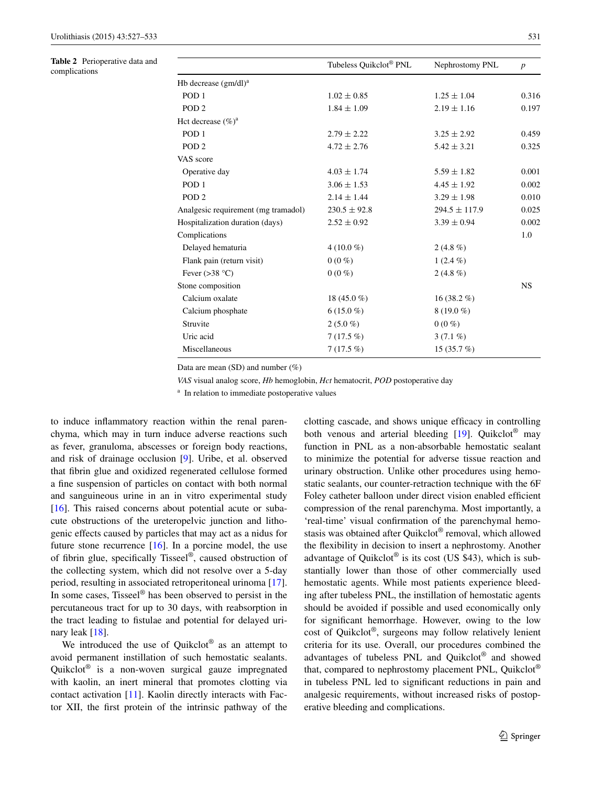<span id="page-4-0"></span>**Table 2** Perioperative data and complications

| Tubeless Quikclot® PNL | Nephrostomy PNL   | $\boldsymbol{p}$ |  |
|------------------------|-------------------|------------------|--|
|                        |                   |                  |  |
| $1.02 \pm 0.85$        | $1.25 \pm 1.04$   | 0.316            |  |
| $1.84 \pm 1.09$        | $2.19 \pm 1.16$   | 0.197            |  |
|                        |                   |                  |  |
| $2.79 \pm 2.22$        | $3.25 \pm 2.92$   | 0.459            |  |
| $4.72 \pm 2.76$        | $5.42 \pm 3.21$   | 0.325            |  |
|                        |                   |                  |  |
| $4.03 \pm 1.74$        | $5.59 \pm 1.82$   | 0.001            |  |
| $3.06 \pm 1.53$        | $4.45 \pm 1.92$   | 0.002            |  |
| $2.14 \pm 1.44$        | $3.29 \pm 1.98$   | 0.010            |  |
| $230.5 \pm 92.8$       | $294.5 \pm 117.9$ | 0.025            |  |
| $2.52 \pm 0.92$        | $3.39 \pm 0.94$   | 0.002            |  |
| Complications          |                   |                  |  |
| 4 (10.0 %)             | $2(4.8\%)$        |                  |  |
| $0(0\%)$               | $1(2.4\%)$        |                  |  |
| $0(0\%)$               | 2 $(4.8\%)$       |                  |  |
|                        |                   | <b>NS</b>        |  |
| 18 $(45.0\%$           | 16 $(38.2\%)$     |                  |  |
| $6(15.0\%)$            | $8(19.0\%)$       |                  |  |
| $2(5.0\%)$             | $0(0\%)$          |                  |  |
| $7(17.5\%)$            | $3(7.1\%)$        |                  |  |
| $7(17.5\%)$            | 15(35.7%)         |                  |  |
|                        |                   |                  |  |

Data are mean (SD) and number (%)

*VAS* visual analog score, *Hb* hemoglobin, *Hct* hematocrit, *POD* postoperative day

<sup>a</sup> In relation to immediate postoperative values

to induce inflammatory reaction within the renal parenchyma, which may in turn induce adverse reactions such as fever, granuloma, abscesses or foreign body reactions, and risk of drainage occlusion [\[9](#page-5-8)]. Uribe, et al. observed that fibrin glue and oxidized regenerated cellulose formed a fine suspension of particles on contact with both normal and sanguineous urine in an in vitro experimental study [\[16](#page-5-15)]. This raised concerns about potential acute or subacute obstructions of the ureteropelvic junction and lithogenic effects caused by particles that may act as a nidus for future stone recurrence [[16\]](#page-5-15). In a porcine model, the use of fibrin glue, specifically Tisseel®, caused obstruction of the collecting system, which did not resolve over a 5-day period, resulting in associated retroperitoneal urinoma [\[17](#page-6-0)]. In some cases, Tisseel® has been observed to persist in the percutaneous tract for up to 30 days, with reabsorption in the tract leading to fistulae and potential for delayed urinary leak  $[18]$  $[18]$ .

We introduced the use of Quikclot<sup>®</sup> as an attempt to avoid permanent instillation of such hemostatic sealants. Quikclot® is a non-woven surgical gauze impregnated with kaolin, an inert mineral that promotes clotting via contact activation [\[11](#page-5-10)]. Kaolin directly interacts with Factor XII, the first protein of the intrinsic pathway of the clotting cascade, and shows unique efficacy in controlling both venous and arterial bleeding [[19\]](#page-6-2). Quikclot<sup>®</sup> may function in PNL as a non-absorbable hemostatic sealant to minimize the potential for adverse tissue reaction and urinary obstruction. Unlike other procedures using hemostatic sealants, our counter-retraction technique with the 6F Foley catheter balloon under direct vision enabled efficient compression of the renal parenchyma. Most importantly, a 'real-time' visual confirmation of the parenchymal hemostasis was obtained after Quikclot® removal, which allowed the flexibility in decision to insert a nephrostomy. Another advantage of Quikclot<sup>®</sup> is its cost (US \$43), which is substantially lower than those of other commercially used hemostatic agents. While most patients experience bleeding after tubeless PNL, the instillation of hemostatic agents should be avoided if possible and used economically only for significant hemorrhage. However, owing to the low cost of Quikclot®, surgeons may follow relatively lenient criteria for its use. Overall, our procedures combined the advantages of tubeless PNL and Quikclot® and showed that, compared to nephrostomy placement PNL, Quikclot® in tubeless PNL led to significant reductions in pain and analgesic requirements, without increased risks of postoperative bleeding and complications.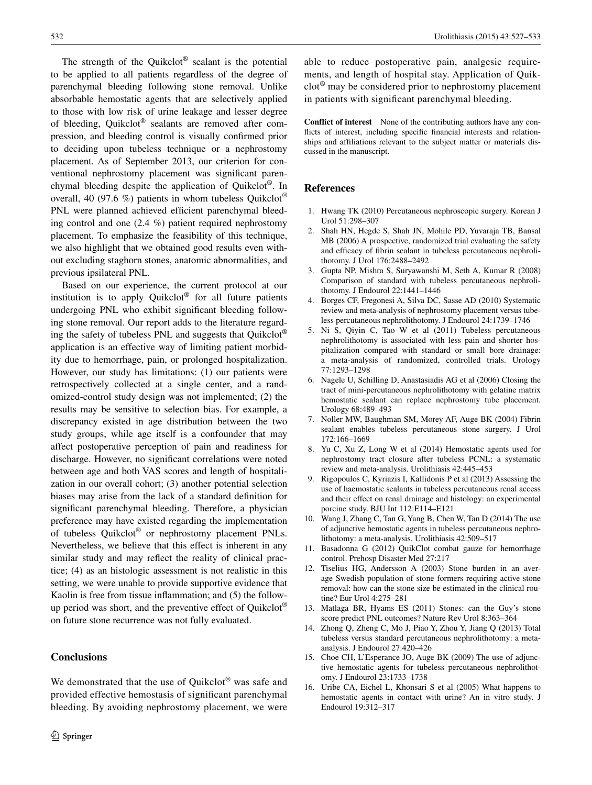The strength of the Ouikclot<sup>®</sup> sealant is the potential to be applied to all patients regardless of the degree of parenchymal bleeding following stone removal. Unlike absorbable hemostatic agents that are selectively applied to those with low risk of urine leakage and lesser degree of bleeding, Quikclot® sealants are removed after compression, and bleeding control is visually confirmed prior to deciding upon tubeless technique or a nephrostomy placement. As of September 2013, our criterion for conventional nephrostomy placement was significant parenchymal bleeding despite the application of Quikclot®. In overall, 40 (97.6 %) patients in whom tubeless Ouikclot<sup>®</sup> PNL were planned achieved efficient parenchymal bleeding control and one (2.4 %) patient required nephrostomy placement. To emphasize the feasibility of this technique, we also highlight that we obtained good results even without excluding staghorn stones, anatomic abnormalities, and previous ipsilateral PNL.

Based on our experience, the current protocol at our institution is to apply Quikclot<sup>®</sup> for all future patients undergoing PNL who exhibit significant bleeding following stone removal. Our report adds to the literature regarding the safety of tubeless PNL and suggests that Quikclot® application is an effective way of limiting patient morbidity due to hemorrhage, pain, or prolonged hospitalization. However, our study has limitations: (1) our patients were retrospectively collected at a single center, and a randomized-control study design was not implemented; (2) the results may be sensitive to selection bias. For example, a discrepancy existed in age distribution between the two study groups, while age itself is a confounder that may affect postoperative perception of pain and readiness for discharge. However, no significant correlations were noted between age and both VAS scores and length of hospitalization in our overall cohort; (3) another potential selection biases may arise from the lack of a standard definition for significant parenchymal bleeding. Therefore, a physician preference may have existed regarding the implementation of tubeless Quikclot® or nephrostomy placement PNLs. Nevertheless, we believe that this effect is inherent in any similar study and may reflect the reality of clinical practice; (4) as an histologic assessment is not realistic in this setting, we were unable to provide supportive evidence that Kaolin is free from tissue inflammation; and (5) the followup period was short, and the preventive effect of Quikclot® on future stone recurrence was not fully evaluated.

# **Conclusions**

We demonstrated that the use of Quikclot® was safe and provided effective hemostasis of significant parenchymal bleeding. By avoiding nephrostomy placement, we were able to reduce postoperative pain, analgesic requirements, and length of hospital stay. Application of Quikclot® may be considered prior to nephrostomy placement in patients with significant parenchymal bleeding.

**Conflict of interest** None of the contributing authors have any conflicts of interest, including specific financial interests and relationships and affiliations relevant to the subject matter or materials discussed in the manuscript.

## **References**

- <span id="page-5-0"></span>1. Hwang TK (2010) Percutaneous nephroscopic surgery. Korean J Urol 51:298–307
- <span id="page-5-1"></span>2. Shah HN, Hegde S, Shah JN, Mohile PD, Yuvaraja TB, Bansal MB (2006) A prospective, randomized trial evaluating the safety and efficacy of fibrin sealant in tubeless percutaneous nephrolithotomy. J Urol 176:2488–2492
- <span id="page-5-2"></span>3. Gupta NP, Mishra S, Suryawanshi M, Seth A, Kumar R (2008) Comparison of standard with tubeless percutaneous nephrolithotomy. J Endourol 22:1441–1446
- <span id="page-5-3"></span>4. Borges CF, Fregonesi A, Silva DC, Sasse AD (2010) Systematic review and meta-analysis of nephrostomy placement versus tubeless percutaneous nephrolithotomy. J Endourol 24:1739–1746
- <span id="page-5-4"></span>5. Ni S, Qiyin C, Tao W et al (2011) Tubeless percutaneous nephrolithotomy is associated with less pain and shorter hospitalization compared with standard or small bore drainage: a meta-analysis of randomized, controlled trials. Urology 77:1293–1298
- <span id="page-5-5"></span>6. Nagele U, Schilling D, Anastasiadis AG et al (2006) Closing the tract of mini-percutaneous nephrolithotomy with gelatine matrix hemostatic sealant can replace nephrostomy tube placement. Urology 68:489–493
- <span id="page-5-6"></span>7. Noller MW, Baughman SM, Morey AF, Auge BK (2004) Fibrin sealant enables tubeless percutaneous stone surgery. J Urol 172:166–1669
- <span id="page-5-7"></span>8. Yu C, Xu Z, Long W et al (2014) Hemostatic agents used for nephrostomy tract closure after tubeless PCNL: a systematic review and meta-analysis. Urolithiasis 42:445–453
- <span id="page-5-8"></span>9. Rigopoulos C, Kyriazis I, Kallidonis P et al (2013) Assessing the use of haemostatic sealants in tubeless percutaneous renal access and their effect on renal drainage and histology: an experimental porcine study. BJU Int 112:E114–E121
- <span id="page-5-9"></span>10. Wang J, Zhang C, Tan G, Yang B, Chen W, Tan D (2014) The use of adjunctive hemostatic agents in tubeless percutaneous nephrolithotomy: a meta-analysis. Urolithiasis 42:509–517
- <span id="page-5-10"></span>11. Basadonna G (2012) QuikClot combat gauze for hemorrhage control. Prehosp Disaster Med 27:217
- <span id="page-5-11"></span>12. Tiselius HG, Andersson A (2003) Stone burden in an average Swedish population of stone formers requiring active stone removal: how can the stone size be estimated in the clinical routine? Eur Urol 4:275–281
- <span id="page-5-12"></span>13. Matlaga BR, Hyams ES (2011) Stones: can the Guy's stone score predict PNL outcomes? Nature Rev Urol 8:363–364
- <span id="page-5-13"></span>14. Zhong Q, Zheng C, Mo J, Piao Y, Zhou Y, Jiang Q (2013) Total tubeless versus standard percutaneous nephrolithotomy: a metaanalysis. J Endourol 27:420–426
- <span id="page-5-14"></span>15. Choe CH, L'Esperance JO, Auge BK (2009) The use of adjunctive hemostatic agents for tubeless percutaneous nephrolithotomy. J Endourol 23:1733–1738
- <span id="page-5-15"></span>16. Uribe CA, Eichel L, Khonsari S et al (2005) What happens to hemostatic agents in contact with urine? An in vitro study. J Endourol 19:312–317